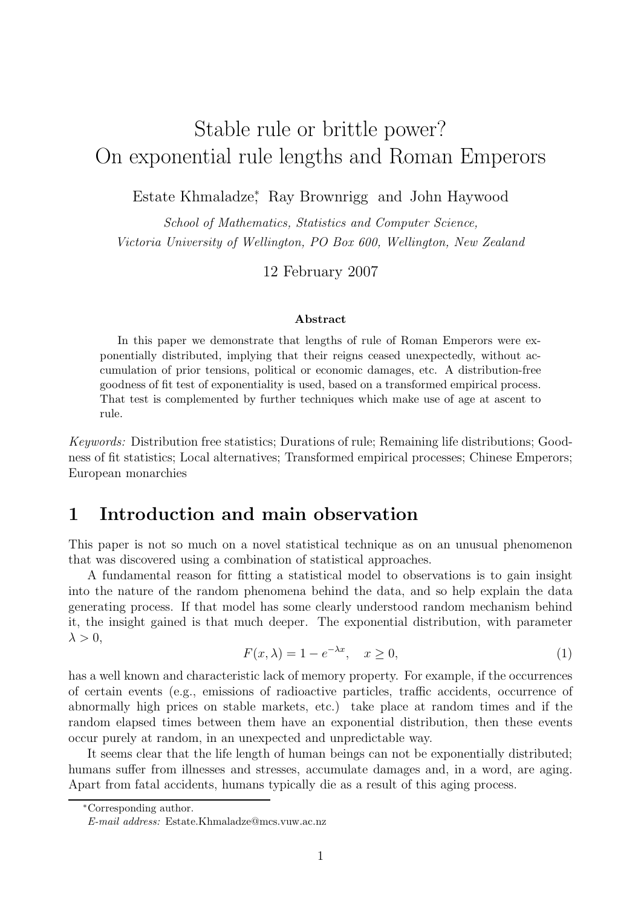# Stable rule or brittle power? On exponential rule lengths and Roman Emperors

Estate Khmaladze<sup>∗</sup> , Ray Brownrigg and John Haywood

School of Mathematics, Statistics and Computer Science, Victoria University of Wellington, PO Box 600, Wellington, New Zealand

12 February 2007

#### Abstract

In this paper we demonstrate that lengths of rule of Roman Emperors were exponentially distributed, implying that their reigns ceased unexpectedly, without accumulation of prior tensions, political or economic damages, etc. A distribution-free goodness of fit test of exponentiality is used, based on a transformed empirical process. That test is complemented by further techniques which make use of age at ascent to rule.

Keywords: Distribution free statistics; Durations of rule; Remaining life distributions; Goodness of fit statistics; Local alternatives; Transformed empirical processes; Chinese Emperors; European monarchies

### 1 Introduction and main observation

This paper is not so much on a novel statistical technique as on an unusual phenomenon that was discovered using a combination of statistical approaches.

A fundamental reason for fitting a statistical model to observations is to gain insight into the nature of the random phenomena behind the data, and so help explain the data generating process. If that model has some clearly understood random mechanism behind it, the insight gained is that much deeper. The exponential distribution, with parameter  $\lambda > 0$ ,

$$
F(x,\lambda) = 1 - e^{-\lambda x}, \quad x \ge 0,
$$
\n<sup>(1)</sup>

has a well known and characteristic lack of memory property. For example, if the occurrences of certain events (e.g., emissions of radioactive particles, traffic accidents, occurrence of abnormally high prices on stable markets, etc.) take place at random times and if the random elapsed times between them have an exponential distribution, then these events occur purely at random, in an unexpected and unpredictable way.

It seems clear that the life length of human beings can not be exponentially distributed; humans suffer from illnesses and stresses, accumulate damages and, in a word, are aging. Apart from fatal accidents, humans typically die as a result of this aging process.

<sup>∗</sup>Corresponding author.

E-mail address: Estate.Khmaladze@mcs.vuw.ac.nz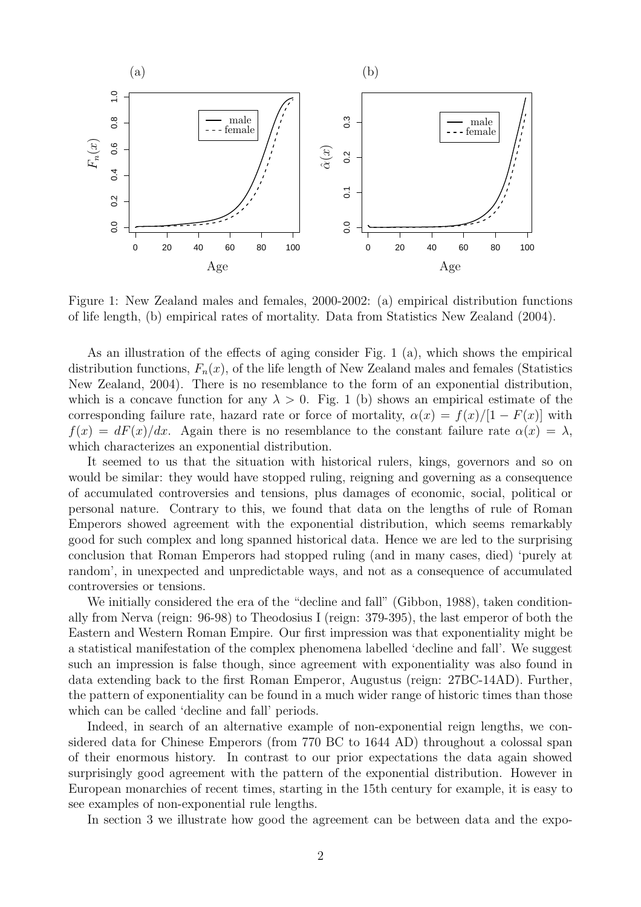

Figure 1: New Zealand males and females, 2000-2002: (a) empirical distribution functions of life length, (b) empirical rates of mortality. Data from Statistics New Zealand (2004).

As an illustration of the effects of aging consider Fig. 1 (a), which shows the empirical distribution functions,  $F_n(x)$ , of the life length of New Zealand males and females (Statistics New Zealand, 2004). There is no resemblance to the form of an exponential distribution, which is a concave function for any  $\lambda > 0$ . Fig. 1 (b) shows an empirical estimate of the corresponding failure rate, hazard rate or force of mortality,  $\alpha(x) = f(x)/[1 - F(x)]$  with  $f(x) = dF(x)/dx$ . Again there is no resemblance to the constant failure rate  $\alpha(x) = \lambda$ , which characterizes an exponential distribution.

It seemed to us that the situation with historical rulers, kings, governors and so on would be similar: they would have stopped ruling, reigning and governing as a consequence of accumulated controversies and tensions, plus damages of economic, social, political or personal nature. Contrary to this, we found that data on the lengths of rule of Roman Emperors showed agreement with the exponential distribution, which seems remarkably good for such complex and long spanned historical data. Hence we are led to the surprising conclusion that Roman Emperors had stopped ruling (and in many cases, died) 'purely at random', in unexpected and unpredictable ways, and not as a consequence of accumulated controversies or tensions.

We initially considered the era of the "decline and fall" (Gibbon, 1988), taken conditionally from Nerva (reign: 96-98) to Theodosius I (reign: 379-395), the last emperor of both the Eastern and Western Roman Empire. Our first impression was that exponentiality might be a statistical manifestation of the complex phenomena labelled 'decline and fall'. We suggest such an impression is false though, since agreement with exponentiality was also found in data extending back to the first Roman Emperor, Augustus (reign: 27BC-14AD). Further, the pattern of exponentiality can be found in a much wider range of historic times than those which can be called 'decline and fall' periods.

Indeed, in search of an alternative example of non-exponential reign lengths, we considered data for Chinese Emperors (from 770 BC to 1644 AD) throughout a colossal span of their enormous history. In contrast to our prior expectations the data again showed surprisingly good agreement with the pattern of the exponential distribution. However in European monarchies of recent times, starting in the 15th century for example, it is easy to see examples of non-exponential rule lengths.

In section 3 we illustrate how good the agreement can be between data and the expo-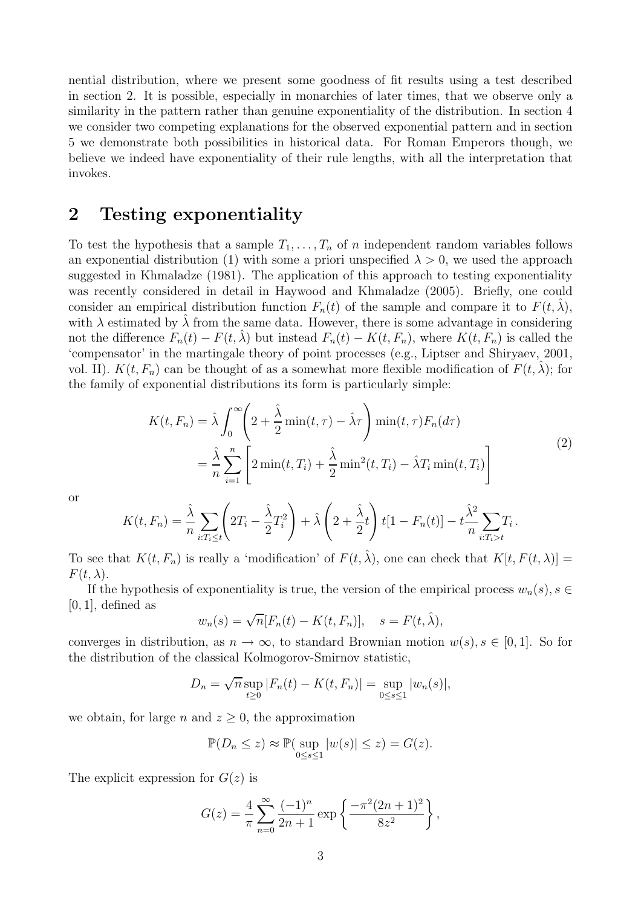nential distribution, where we present some goodness of fit results using a test described in section 2. It is possible, especially in monarchies of later times, that we observe only a similarity in the pattern rather than genuine exponentiality of the distribution. In section 4 we consider two competing explanations for the observed exponential pattern and in section 5 we demonstrate both possibilities in historical data. For Roman Emperors though, we believe we indeed have exponentiality of their rule lengths, with all the interpretation that invokes.

### 2 Testing exponentiality

To test the hypothesis that a sample  $T_1, \ldots, T_n$  of n independent random variables follows an exponential distribution (1) with some a priori unspecified  $\lambda > 0$ , we used the approach suggested in Khmaladze (1981). The application of this approach to testing exponentiality was recently considered in detail in Haywood and Khmaladze (2005). Briefly, one could consider an empirical distribution function  $F_n(t)$  of the sample and compare it to  $F(t, \hat{\lambda})$ , with  $\lambda$  estimated by  $\lambda$  from the same data. However, there is some advantage in considering not the difference  $F_n(t) - F(t, \hat{\lambda})$  but instead  $F_n(t) - K(t, F_n)$ , where  $K(t, F_n)$  is called the 'compensator' in the martingale theory of point processes (e.g., Liptser and Shiryaev, 2001, vol. II).  $K(t, F_n)$  can be thought of as a somewhat more flexible modification of  $F(t, \lambda)$ ; for the family of exponential distributions its form is particularly simple:

$$
K(t, F_n) = \hat{\lambda} \int_0^{\infty} \left( 2 + \frac{\hat{\lambda}}{2} \min(t, \tau) - \hat{\lambda}\tau \right) \min(t, \tau) F_n(d\tau)
$$
  
= 
$$
\frac{\hat{\lambda}}{n} \sum_{i=1}^n \left[ 2 \min(t, T_i) + \frac{\hat{\lambda}}{2} \min^2(t, T_i) - \hat{\lambda}T_i \min(t, T_i) \right]
$$
(2)

.

or

$$
K(t, F_n) = \frac{\hat{\lambda}}{n} \sum_{i: T_i \le t} \left( 2T_i - \frac{\hat{\lambda}}{2} T_i^2 \right) + \hat{\lambda} \left( 2 + \frac{\hat{\lambda}}{2} t \right) t \left[ 1 - F_n(t) \right] - t \frac{\hat{\lambda}^2}{n} \sum_{i: T_i > t} T_i
$$

To see that  $K(t, F_n)$  is really a 'modification' of  $F(t, \hat{\lambda})$ , one can check that  $K[t, F(t, \lambda)] =$  $F(t, \lambda)$ .

If the hypothesis of exponentiality is true, the version of the empirical process  $w_n(s)$ ,  $s \in$  $[0, 1]$ , defined as

$$
w_n(s) = \sqrt{n}[F_n(t) - K(t, F_n)], \quad s = F(t, \hat{\lambda}),
$$

converges in distribution, as  $n \to \infty$ , to standard Brownian motion  $w(s)$ ,  $s \in [0,1]$ . So for the distribution of the classical Kolmogorov-Smirnov statistic,

$$
D_n = \sqrt{n} \sup_{t \ge 0} |F_n(t) - K(t, F_n)| = \sup_{0 \le s \le 1} |w_n(s)|,
$$

we obtain, for large n and  $z \geq 0$ , the approximation

$$
\mathbb{P}(D_n \le z) \approx \mathbb{P}(\sup_{0 \le s \le 1} |w(s)| \le z) = G(z).
$$

The explicit expression for  $G(z)$  is

$$
G(z) = \frac{4}{\pi} \sum_{n=0}^{\infty} \frac{(-1)^n}{2n+1} \exp\left\{ \frac{-\pi^2 (2n+1)^2}{8z^2} \right\},\,
$$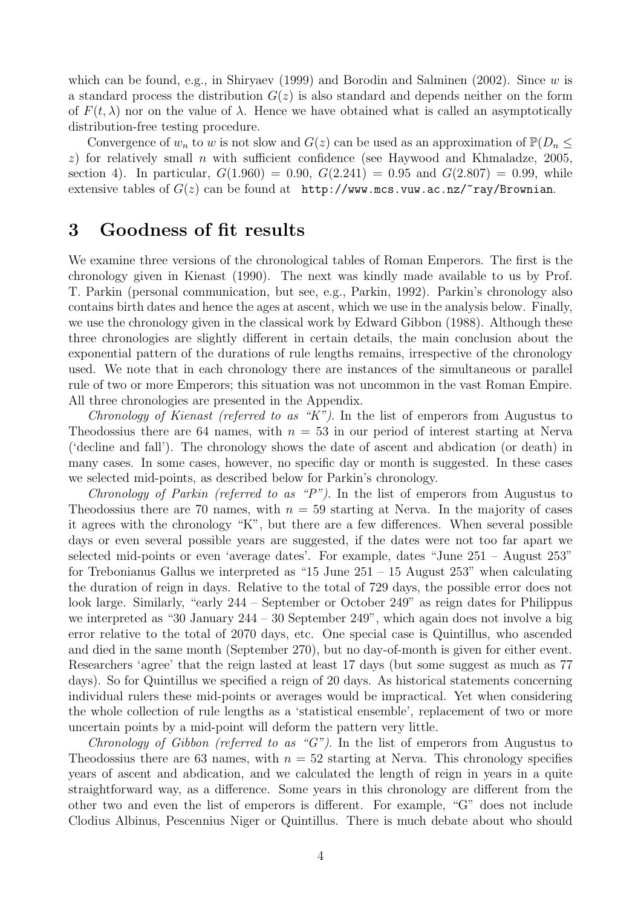which can be found, e.g., in Shiryaev (1999) and Borodin and Salminen (2002). Since  $w$  is a standard process the distribution  $G(z)$  is also standard and depends neither on the form of  $F(t, \lambda)$  nor on the value of  $\lambda$ . Hence we have obtained what is called an asymptotically distribution-free testing procedure.

Convergence of  $w_n$  to w is not slow and  $G(z)$  can be used as an approximation of  $\mathbb{P}(D_n \leq$  $z$ ) for relatively small *n* with sufficient confidence (see Haywood and Khmaladze, 2005, section 4). In particular,  $G(1.960) = 0.90$ ,  $G(2.241) = 0.95$  and  $G(2.807) = 0.99$ , while extensive tables of  $G(z)$  can be found at http://www.mcs.vuw.ac.nz/ $\epsilon$ ray/Brownian.

#### 3 Goodness of fit results

We examine three versions of the chronological tables of Roman Emperors. The first is the chronology given in Kienast (1990). The next was kindly made available to us by Prof. T. Parkin (personal communication, but see, e.g., Parkin, 1992). Parkin's chronology also contains birth dates and hence the ages at ascent, which we use in the analysis below. Finally, we use the chronology given in the classical work by Edward Gibbon (1988). Although these three chronologies are slightly different in certain details, the main conclusion about the exponential pattern of the durations of rule lengths remains, irrespective of the chronology used. We note that in each chronology there are instances of the simultaneous or parallel rule of two or more Emperors; this situation was not uncommon in the vast Roman Empire. All three chronologies are presented in the Appendix.

Chronology of Kienast (referred to as "K"). In the list of emperors from Augustus to Theodossius there are 64 names, with  $n = 53$  in our period of interest starting at Nerva ('decline and fall'). The chronology shows the date of ascent and abdication (or death) in many cases. In some cases, however, no specific day or month is suggested. In these cases we selected mid-points, as described below for Parkin's chronology.

Chronology of Parkin (referred to as "P"). In the list of emperors from Augustus to Theodossius there are 70 names, with  $n = 59$  starting at Nerva. In the majority of cases it agrees with the chronology "K", but there are a few differences. When several possible days or even several possible years are suggested, if the dates were not too far apart we selected mid-points or even 'average dates'. For example, dates "June 251 – August 253" for Trebonianus Gallus we interpreted as "15 June 251 – 15 August 253" when calculating the duration of reign in days. Relative to the total of 729 days, the possible error does not look large. Similarly, "early 244 – September or October 249" as reign dates for Philippus we interpreted as "30 January 244 – 30 September 249", which again does not involve a big error relative to the total of 2070 days, etc. One special case is Quintillus, who ascended and died in the same month (September 270), but no day-of-month is given for either event. Researchers 'agree' that the reign lasted at least 17 days (but some suggest as much as 77 days). So for Quintillus we specified a reign of 20 days. As historical statements concerning individual rulers these mid-points or averages would be impractical. Yet when considering the whole collection of rule lengths as a 'statistical ensemble', replacement of two or more uncertain points by a mid-point will deform the pattern very little.

Chronology of Gibbon (referred to as "G"). In the list of emperors from Augustus to Theodossius there are 63 names, with  $n = 52$  starting at Nerva. This chronology specifies years of ascent and abdication, and we calculated the length of reign in years in a quite straightforward way, as a difference. Some years in this chronology are different from the other two and even the list of emperors is different. For example, "G" does not include Clodius Albinus, Pescennius Niger or Quintillus. There is much debate about who should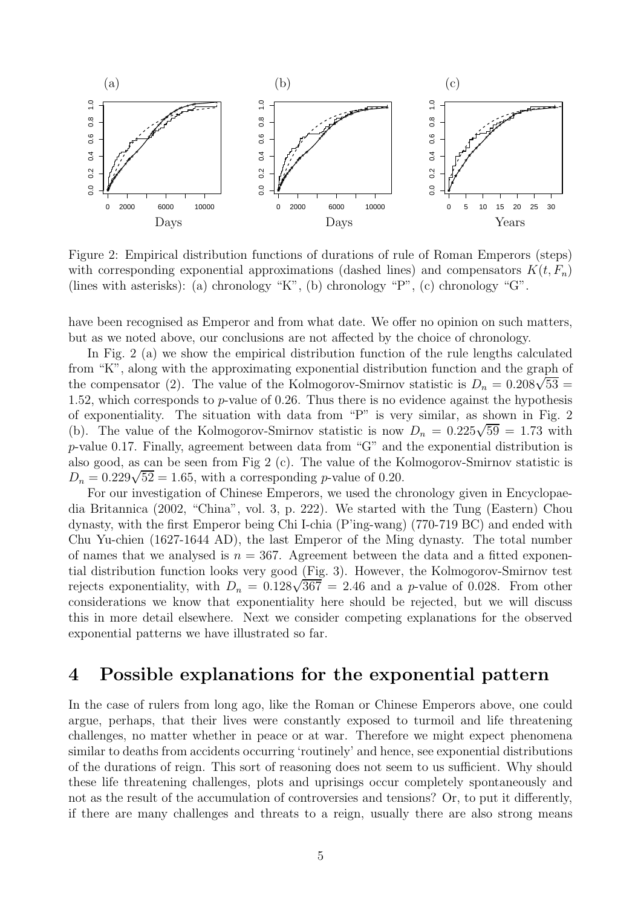

Figure 2: Empirical distribution functions of durations of rule of Roman Emperors (steps) with corresponding exponential approximations (dashed lines) and compensators  $K(t, F_n)$ (lines with asterisks): (a) chronology "K", (b) chronology "P", (c) chronology "G".

have been recognised as Emperor and from what date. We offer no opinion on such matters, but as we noted above, our conclusions are not affected by the choice of chronology.

In Fig. 2 (a) we show the empirical distribution function of the rule lengths calculated from "K", along with the approximating exponential distribution function and the graph of the compensator (2). The value of the Kolmogorov-Smirnov statistic is  $D_n = 0.208\sqrt{53}$  = 1.52, which corresponds to  $p$ -value of 0.26. Thus there is no evidence against the hypothesis of exponentiality. The situation with data from "P" is very similar, as shown in Fig. 2 (b). The value of the Kolmogorov-Smirnov statistic is now  $D_n = 0.225\sqrt{59} = 1.73$  with p-value 0.17. Finally, agreement between data from "G" and the exponential distribution is also good, as can be seen from Fig 2 (c). The value of the Kolmogorov-Smirnov statistic is  $D_n = 0.229\sqrt{52} = 1.65$ , with a corresponding *p*-value of 0.20.

For our investigation of Chinese Emperors, we used the chronology given in Encyclopaedia Britannica (2002, "China", vol. 3, p. 222). We started with the Tung (Eastern) Chou dynasty, with the first Emperor being Chi I-chia (P'ing-wang) (770-719 BC) and ended with Chu Yu-chien (1627-1644 AD), the last Emperor of the Ming dynasty. The total number of names that we analysed is  $n = 367$ . Agreement between the data and a fitted exponential distribution function looks very good (Fig. 3). However, the Kolmogorov-Smirnov test rejects exponentiality, with  $D_n = 0.128\sqrt{367} = 2.46$  and a p-value of 0.028. From other considerations we know that exponentiality here should be rejected, but we will discuss this in more detail elsewhere. Next we consider competing explanations for the observed exponential patterns we have illustrated so far.

#### 4 Possible explanations for the exponential pattern

In the case of rulers from long ago, like the Roman or Chinese Emperors above, one could argue, perhaps, that their lives were constantly exposed to turmoil and life threatening challenges, no matter whether in peace or at war. Therefore we might expect phenomena similar to deaths from accidents occurring 'routinely' and hence, see exponential distributions of the durations of reign. This sort of reasoning does not seem to us sufficient. Why should these life threatening challenges, plots and uprisings occur completely spontaneously and not as the result of the accumulation of controversies and tensions? Or, to put it differently, if there are many challenges and threats to a reign, usually there are also strong means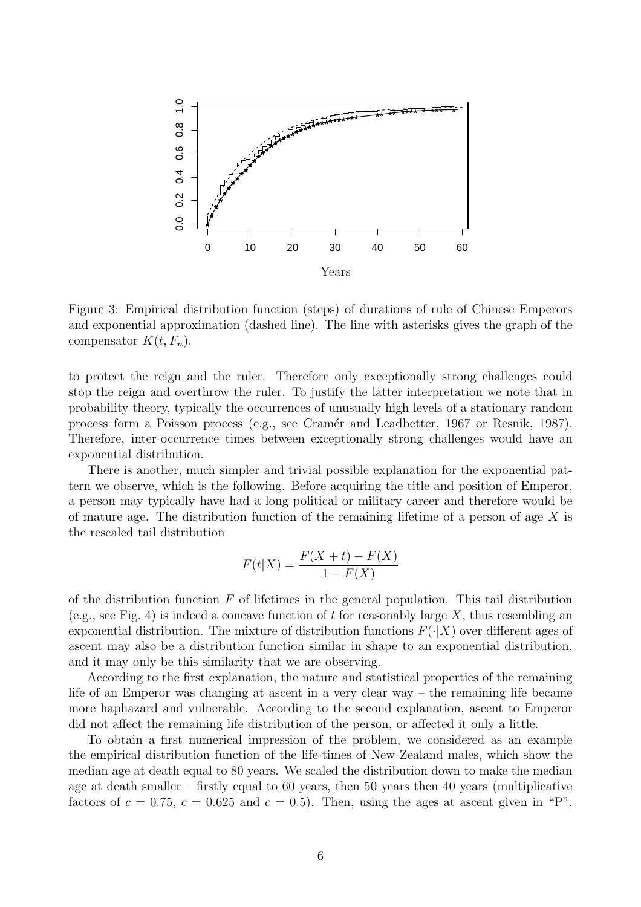

Figure 3: Empirical distribution function (steps) of durations of rule of Chinese Emperors and exponential approximation (dashed line). The line with asterisks gives the graph of the compensator  $K(t, F_n)$ .

to protect the reign and the ruler. Therefore only exceptionally strong challenges could stop the reign and overthrow the ruler. To justify the latter interpretation we note that in probability theory, typically the occurrences of unusually high levels of a stationary random process form a Poisson process (e.g., see Cramér and Leadbetter, 1967 or Resnik, 1987). Therefore, inter-occurrence times between exceptionally strong challenges would have an exponential distribution.

There is another, much simpler and trivial possible explanation for the exponential pattern we observe, which is the following. Before acquiring the title and position of Emperor, a person may typically have had a long political or military career and therefore would be of mature age. The distribution function of the remaining lifetime of a person of age  $X$  is the rescaled tail distribution

$$
F(t|X) = \frac{F(X+t) - F(X)}{1 - F(X)}
$$

of the distribution function  $F$  of lifetimes in the general population. This tail distribution (e.g., see Fig. 4) is indeed a concave function of t for reasonably large X, thus resembling an exponential distribution. The mixture of distribution functions  $F(\cdot|X)$  over different ages of ascent may also be a distribution function similar in shape to an exponential distribution, and it may only be this similarity that we are observing.

According to the first explanation, the nature and statistical properties of the remaining life of an Emperor was changing at ascent in a very clear way – the remaining life became more haphazard and vulnerable. According to the second explanation, ascent to Emperor did not affect the remaining life distribution of the person, or affected it only a little.

To obtain a first numerical impression of the problem, we considered as an example the empirical distribution function of the life-times of New Zealand males, which show the median age at death equal to 80 years. We scaled the distribution down to make the median age at death smaller – firstly equal to 60 years, then 50 years then 40 years (multiplicative factors of  $c = 0.75$ ,  $c = 0.625$  and  $c = 0.5$ ). Then, using the ages at ascent given in "P",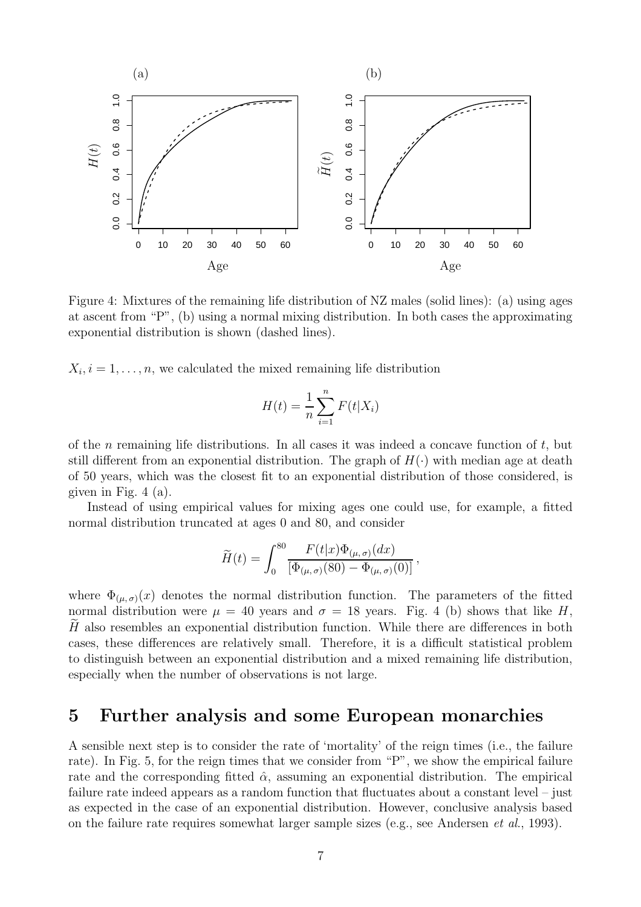

Figure 4: Mixtures of the remaining life distribution of NZ males (solid lines): (a) using ages at ascent from "P", (b) using a normal mixing distribution. In both cases the approximating exponential distribution is shown (dashed lines).

 $X_i, i = 1, \ldots, n$ , we calculated the mixed remaining life distribution

$$
H(t) = \frac{1}{n} \sum_{i=1}^{n} F(t|X_i)
$$

of the n remaining life distributions. In all cases it was indeed a concave function of  $t$ , but still different from an exponential distribution. The graph of  $H(\cdot)$  with median age at death of 50 years, which was the closest fit to an exponential distribution of those considered, is given in Fig.  $4(a)$ .

Instead of using empirical values for mixing ages one could use, for example, a fitted normal distribution truncated at ages 0 and 80, and consider

$$
\widetilde{H}(t) = \int_0^{80} \frac{F(t|x)\Phi_{(\mu,\sigma)}(dx)}{[\Phi_{(\mu,\sigma)}(80) - \Phi_{(\mu,\sigma)}(0)]},
$$

where  $\Phi_{(\mu,\sigma)}(x)$  denotes the normal distribution function. The parameters of the fitted normal distribution were  $\mu = 40$  years and  $\sigma = 18$  years. Fig. 4 (b) shows that like H,  $H$  also resembles an exponential distribution function. While there are differences in both cases, these differences are relatively small. Therefore, it is a difficult statistical problem to distinguish between an exponential distribution and a mixed remaining life distribution, especially when the number of observations is not large.

# 5 Further analysis and some European monarchies

A sensible next step is to consider the rate of 'mortality' of the reign times (i.e., the failure rate). In Fig. 5, for the reign times that we consider from "P", we show the empirical failure rate and the corresponding fitted  $\hat{\alpha}$ , assuming an exponential distribution. The empirical failure rate indeed appears as a random function that fluctuates about a constant level – just as expected in the case of an exponential distribution. However, conclusive analysis based on the failure rate requires somewhat larger sample sizes (e.g., see Andersen *et al.*, 1993).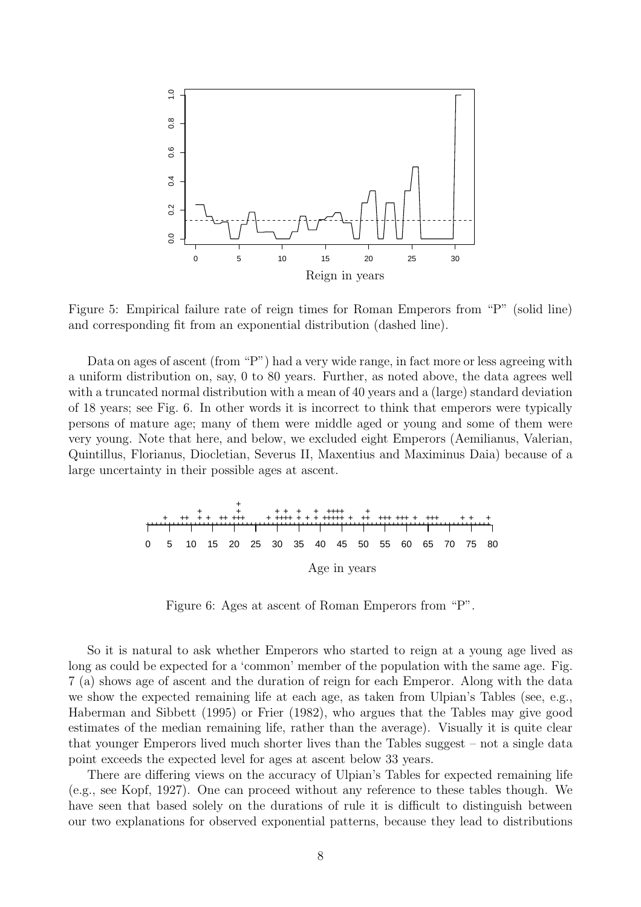

Figure 5: Empirical failure rate of reign times for Roman Emperors from "P" (solid line) and corresponding fit from an exponential distribution (dashed line).

Data on ages of ascent (from "P") had a very wide range, in fact more or less agreeing with a uniform distribution on, say, 0 to 80 years. Further, as noted above, the data agrees well with a truncated normal distribution with a mean of 40 years and a (large) standard deviation of 18 years; see Fig. 6. In other words it is incorrect to think that emperors were typically persons of mature age; many of them were middle aged or young and some of them were very young. Note that here, and below, we excluded eight Emperors (Aemilianus, Valerian, Quintillus, Florianus, Diocletian, Severus II, Maxentius and Maximinus Daia) because of a large uncertainty in their possible ages at ascent.



Figure 6: Ages at ascent of Roman Emperors from "P".

So it is natural to ask whether Emperors who started to reign at a young age lived as long as could be expected for a 'common' member of the population with the same age. Fig. 7 (a) shows age of ascent and the duration of reign for each Emperor. Along with the data we show the expected remaining life at each age, as taken from Ulpian's Tables (see, e.g., Haberman and Sibbett (1995) or Frier (1982), who argues that the Tables may give good estimates of the median remaining life, rather than the average). Visually it is quite clear that younger Emperors lived much shorter lives than the Tables suggest – not a single data point exceeds the expected level for ages at ascent below 33 years.

There are differing views on the accuracy of Ulpian's Tables for expected remaining life (e.g., see Kopf, 1927). One can proceed without any reference to these tables though. We have seen that based solely on the durations of rule it is difficult to distinguish between our two explanations for observed exponential patterns, because they lead to distributions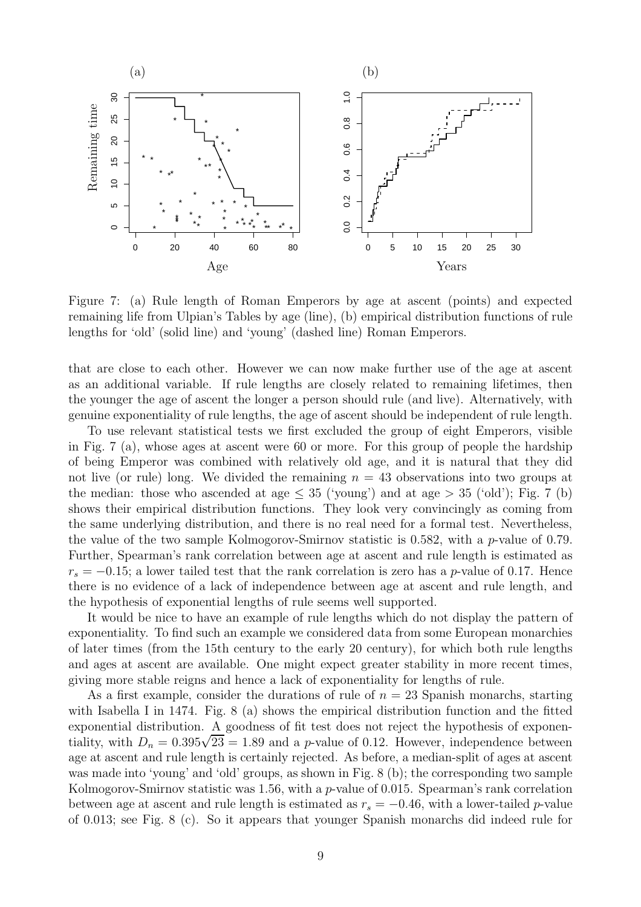

Figure 7: (a) Rule length of Roman Emperors by age at ascent (points) and expected remaining life from Ulpian's Tables by age (line), (b) empirical distribution functions of rule lengths for 'old' (solid line) and 'young' (dashed line) Roman Emperors.

that are close to each other. However we can now make further use of the age at ascent as an additional variable. If rule lengths are closely related to remaining lifetimes, then the younger the age of ascent the longer a person should rule (and live). Alternatively, with genuine exponentiality of rule lengths, the age of ascent should be independent of rule length.

To use relevant statistical tests we first excluded the group of eight Emperors, visible in Fig. 7 (a), whose ages at ascent were 60 or more. For this group of people the hardship of being Emperor was combined with relatively old age, and it is natural that they did not live (or rule) long. We divided the remaining  $n = 43$  observations into two groups at the median: those who ascended at age  $\leq$  35 ('young') and at age  $>$  35 ('old'); Fig. 7 (b) shows their empirical distribution functions. They look very convincingly as coming from the same underlying distribution, and there is no real need for a formal test. Nevertheless, the value of the two sample Kolmogorov-Smirnov statistic is 0.582, with a p-value of 0.79. Further, Spearman's rank correlation between age at ascent and rule length is estimated as  $r_s = -0.15$ ; a lower tailed test that the rank correlation is zero has a p-value of 0.17. Hence there is no evidence of a lack of independence between age at ascent and rule length, and the hypothesis of exponential lengths of rule seems well supported.

It would be nice to have an example of rule lengths which do not display the pattern of exponentiality. To find such an example we considered data from some European monarchies of later times (from the 15th century to the early 20 century), for which both rule lengths and ages at ascent are available. One might expect greater stability in more recent times, giving more stable reigns and hence a lack of exponentiality for lengths of rule.

As a first example, consider the durations of rule of  $n = 23$  Spanish monarchs, starting with Isabella I in 1474. Fig. 8 (a) shows the empirical distribution function and the fitted exponential distribution. A goodness of fit test does not reject the hypothesis of exponentiality, with  $D_n = 0.395\sqrt{23} = 1.89$  and a p-value of 0.12. However, independence between age at ascent and rule length is certainly rejected. As before, a median-split of ages at ascent was made into 'young' and 'old' groups, as shown in Fig. 8 (b); the corresponding two sample Kolmogorov-Smirnov statistic was 1.56, with a p-value of 0.015. Spearman's rank correlation between age at ascent and rule length is estimated as  $r_s = -0.46$ , with a lower-tailed p-value of 0.013; see Fig. 8 (c). So it appears that younger Spanish monarchs did indeed rule for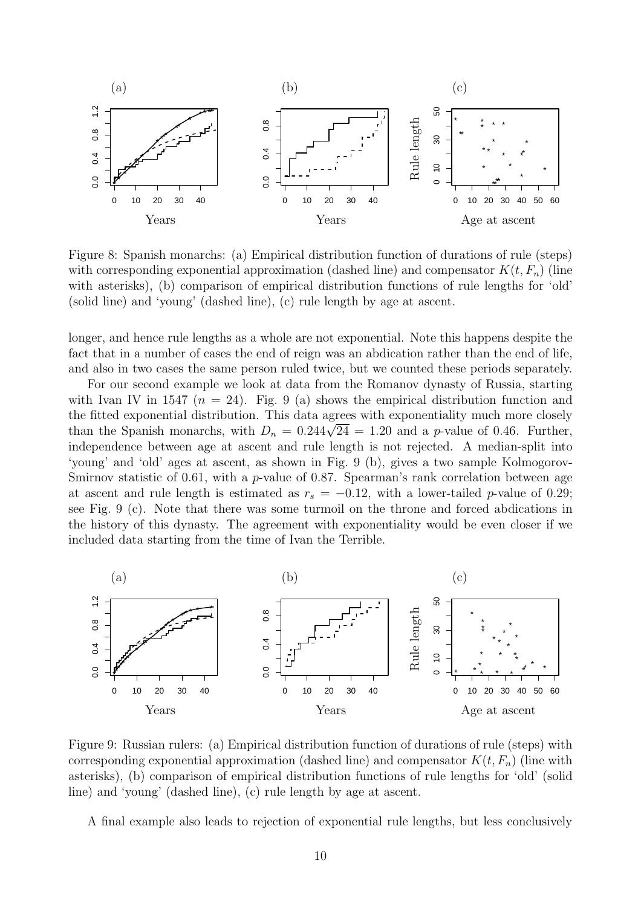

Figure 8: Spanish monarchs: (a) Empirical distribution function of durations of rule (steps) with corresponding exponential approximation (dashed line) and compensator  $K(t, F_n)$  (line with asterisks), (b) comparison of empirical distribution functions of rule lengths for 'old' (solid line) and 'young' (dashed line), (c) rule length by age at ascent.

longer, and hence rule lengths as a whole are not exponential. Note this happens despite the fact that in a number of cases the end of reign was an abdication rather than the end of life, and also in two cases the same person ruled twice, but we counted these periods separately.

For our second example we look at data from the Romanov dynasty of Russia, starting with Ivan IV in 1547 ( $n = 24$ ). Fig. 9 (a) shows the empirical distribution function and the fitted exponential distribution. This data agrees with exponentiality much more closely than the Spanish monarchs, with  $D_n = 0.244\sqrt{24} = 1.20$  and a p-value of 0.46. Further, independence between age at ascent and rule length is not rejected. A median-split into 'young' and 'old' ages at ascent, as shown in Fig. 9 (b), gives a two sample Kolmogorov-Smirnov statistic of 0.61, with a  $p$ -value of 0.87. Spearman's rank correlation between age at ascent and rule length is estimated as  $r_s = -0.12$ , with a lower-tailed p-value of 0.29; see Fig. 9 (c). Note that there was some turmoil on the throne and forced abdications in the history of this dynasty. The agreement with exponentiality would be even closer if we included data starting from the time of Ivan the Terrible.



Figure 9: Russian rulers: (a) Empirical distribution function of durations of rule (steps) with corresponding exponential approximation (dashed line) and compensator  $K(t, F_n)$  (line with asterisks), (b) comparison of empirical distribution functions of rule lengths for 'old' (solid line) and 'young' (dashed line), (c) rule length by age at ascent.

A final example also leads to rejection of exponential rule lengths, but less conclusively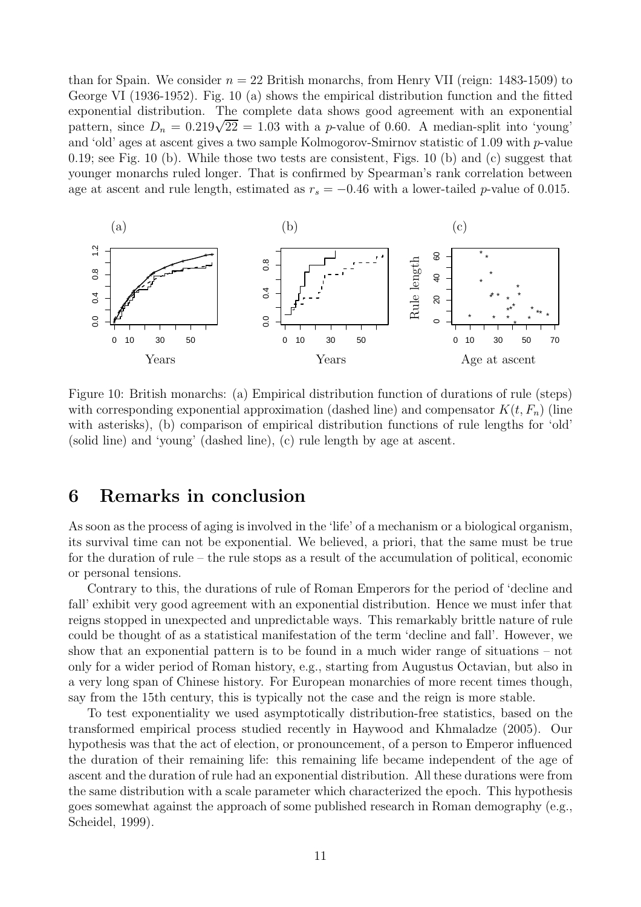than for Spain. We consider  $n = 22$  British monarchs, from Henry VII (reign: 1483-1509) to George VI (1936-1952). Fig. 10 (a) shows the empirical distribution function and the fitted exponential distribution. The complete data shows good agreement with an exponential pattern, since  $D_n = 0.219\sqrt{22} = 1.03$  with a *p*-value of 0.60. A median-split into 'young' and 'old' ages at ascent gives a two sample Kolmogorov-Smirnov statistic of 1.09 with p-value 0.19; see Fig. 10 (b). While those two tests are consistent, Figs. 10 (b) and (c) suggest that younger monarchs ruled longer. That is confirmed by Spearman's rank correlation between age at ascent and rule length, estimated as  $r_s = -0.46$  with a lower-tailed p-value of 0.015.

![](_page_10_Figure_1.jpeg)

Figure 10: British monarchs: (a) Empirical distribution function of durations of rule (steps) with corresponding exponential approximation (dashed line) and compensator  $K(t, F_n)$  (line with asterisks), (b) comparison of empirical distribution functions of rule lengths for 'old' (solid line) and 'young' (dashed line), (c) rule length by age at ascent.

#### 6 Remarks in conclusion

As soon as the process of aging is involved in the 'life' of a mechanism or a biological organism, its survival time can not be exponential. We believed, a priori, that the same must be true for the duration of rule – the rule stops as a result of the accumulation of political, economic or personal tensions.

Contrary to this, the durations of rule of Roman Emperors for the period of 'decline and fall' exhibit very good agreement with an exponential distribution. Hence we must infer that reigns stopped in unexpected and unpredictable ways. This remarkably brittle nature of rule could be thought of as a statistical manifestation of the term 'decline and fall'. However, we show that an exponential pattern is to be found in a much wider range of situations – not only for a wider period of Roman history, e.g., starting from Augustus Octavian, but also in a very long span of Chinese history. For European monarchies of more recent times though, say from the 15th century, this is typically not the case and the reign is more stable.

To test exponentiality we used asymptotically distribution-free statistics, based on the transformed empirical process studied recently in Haywood and Khmaladze (2005). Our hypothesis was that the act of election, or pronouncement, of a person to Emperor influenced the duration of their remaining life: this remaining life became independent of the age of ascent and the duration of rule had an exponential distribution. All these durations were from the same distribution with a scale parameter which characterized the epoch. This hypothesis goes somewhat against the approach of some published research in Roman demography (e.g., Scheidel, 1999).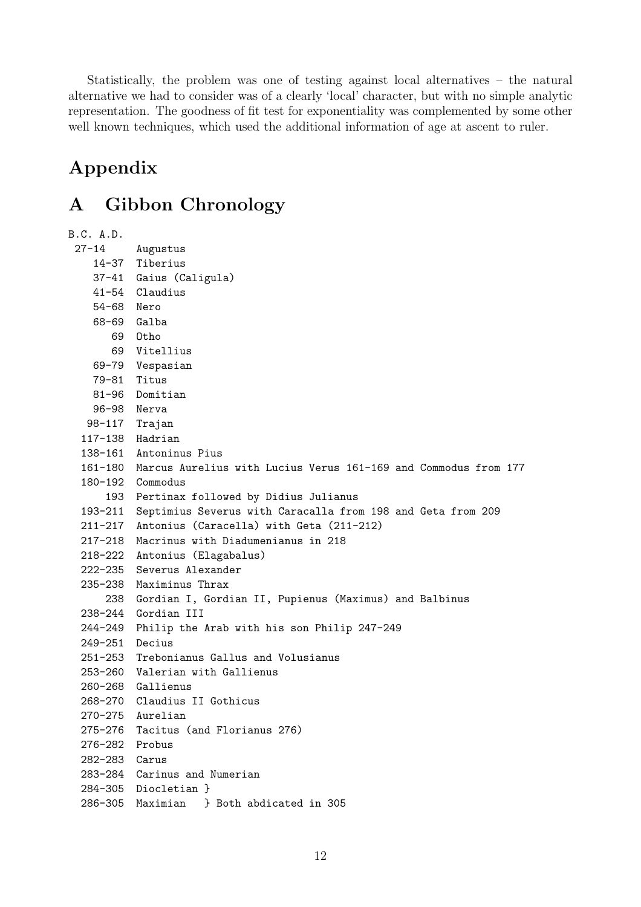Statistically, the problem was one of testing against local alternatives – the natural alternative we had to consider was of a clearly 'local' character, but with no simple analytic representation. The goodness of fit test for exponentiality was complemented by some other well known techniques, which used the additional information of age at ascent to ruler.

# Appendix

# A Gibbon Chronology

```
B.C. A.D.
 27-14 Augustus
   14-37 Tiberius
   37-41 Gaius (Caligula)
   41-54 Claudius
   54-68 Nero
   68-69 Galba
      69 Otho
      69 Vitellius
   69-79 Vespasian
   79-81 Titus
   81-96 Domitian
   96-98 Nerva
  98-117 Trajan
  117-138 Hadrian
  138-161 Antoninus Pius
  161-180 Marcus Aurelius with Lucius Verus 161-169 and Commodus from 177
  180-192 Commodus
     193 Pertinax followed by Didius Julianus
  193-211 Septimius Severus with Caracalla from 198 and Geta from 209
 211-217 Antonius (Caracella) with Geta (211-212)
 217-218 Macrinus with Diadumenianus in 218
 218-222 Antonius (Elagabalus)
 222-235 Severus Alexander
 235-238 Maximinus Thrax
     238 Gordian I, Gordian II, Pupienus (Maximus) and Balbinus
 238-244 Gordian III
 244-249 Philip the Arab with his son Philip 247-249
 249-251 Decius
 251-253 Trebonianus Gallus and Volusianus
 253-260 Valerian with Gallienus
 260-268 Gallienus
 268-270 Claudius II Gothicus
 270-275 Aurelian
 275-276 Tacitus (and Florianus 276)
 276-282 Probus
 282-283 Carus
 283-284 Carinus and Numerian
 284-305 Diocletian }
 286-305 Maximian } Both abdicated in 305
```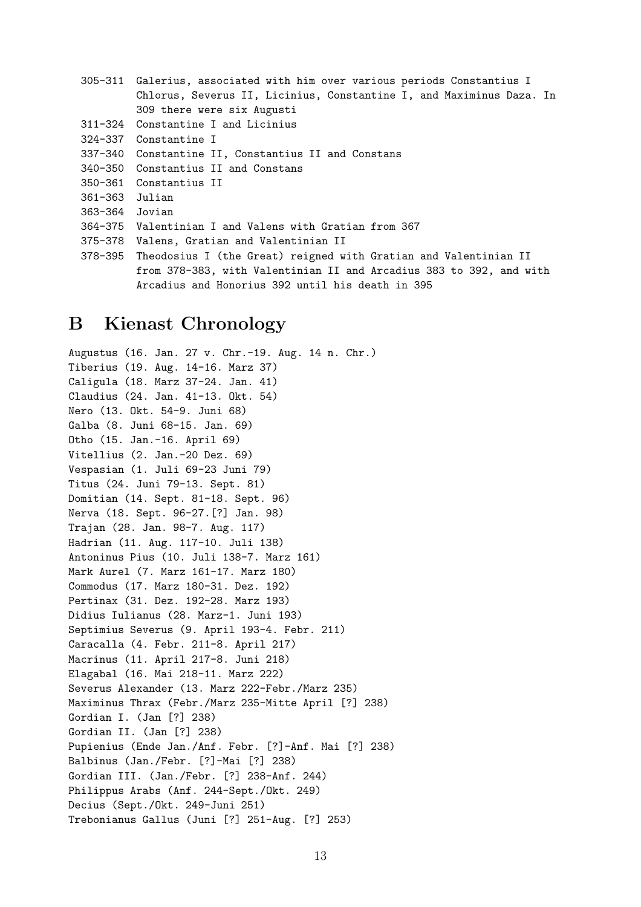|                | 305-311 Galerius, associated with him over various periods Constantius I |
|----------------|--------------------------------------------------------------------------|
|                | Chlorus, Severus II, Licinius, Constantine I, and Maximinus Daza. In     |
|                | 309 there were six Augusti                                               |
|                | 311-324 Constantine I and Licinius                                       |
|                | 324-337 Constantine I                                                    |
|                | 337-340 Constantine II, Constantius II and Constans                      |
|                | 340-350 Constantius II and Constans                                      |
|                | 350-361 Constantius II                                                   |
| 361-363 Julian |                                                                          |
| 363-364 Jovian |                                                                          |
|                | 364-375 Valentinian I and Valens with Gratian from 367                   |
|                | 375-378 Valens, Gratian and Valentinian II                               |
|                | 378-395 Theodosius I (the Great) reigned with Gratian and Valentinian II |
|                | from 378-383, with Valentinian II and Arcadius 383 to 392, and with      |
|                | Arcadius and Honorius 392 until his death in 395                         |

### B Kienast Chronology

Augustus (16. Jan. 27 v. Chr.-19. Aug. 14 n. Chr.) Tiberius (19. Aug. 14-16. Marz 37) Caligula (18. Marz 37-24. Jan. 41) Claudius (24. Jan. 41-13. Okt. 54) Nero (13. Okt. 54-9. Juni 68) Galba (8. Juni 68-15. Jan. 69) Otho (15. Jan.-16. April 69) Vitellius (2. Jan.-20 Dez. 69) Vespasian (1. Juli 69-23 Juni 79) Titus (24. Juni 79-13. Sept. 81) Domitian (14. Sept. 81-18. Sept. 96) Nerva (18. Sept. 96-27.[?] Jan. 98) Trajan (28. Jan. 98-7. Aug. 117) Hadrian (11. Aug. 117-10. Juli 138) Antoninus Pius (10. Juli 138-7. Marz 161) Mark Aurel (7. Marz 161-17. Marz 180) Commodus (17. Marz 180-31. Dez. 192) Pertinax (31. Dez. 192-28. Marz 193) Didius Iulianus (28. Marz-1. Juni 193) Septimius Severus (9. April 193-4. Febr. 211) Caracalla (4. Febr. 211-8. April 217) Macrinus (11. April 217-8. Juni 218) Elagabal (16. Mai 218-11. Marz 222) Severus Alexander (13. Marz 222-Febr./Marz 235) Maximinus Thrax (Febr./Marz 235-Mitte April [?] 238) Gordian I. (Jan [?] 238) Gordian II. (Jan [?] 238) Pupienius (Ende Jan./Anf. Febr. [?]-Anf. Mai [?] 238) Balbinus (Jan./Febr. [?]-Mai [?] 238) Gordian III. (Jan./Febr. [?] 238-Anf. 244) Philippus Arabs (Anf. 244-Sept./Okt. 249) Decius (Sept./Okt. 249-Juni 251) Trebonianus Gallus (Juni [?] 251-Aug. [?] 253)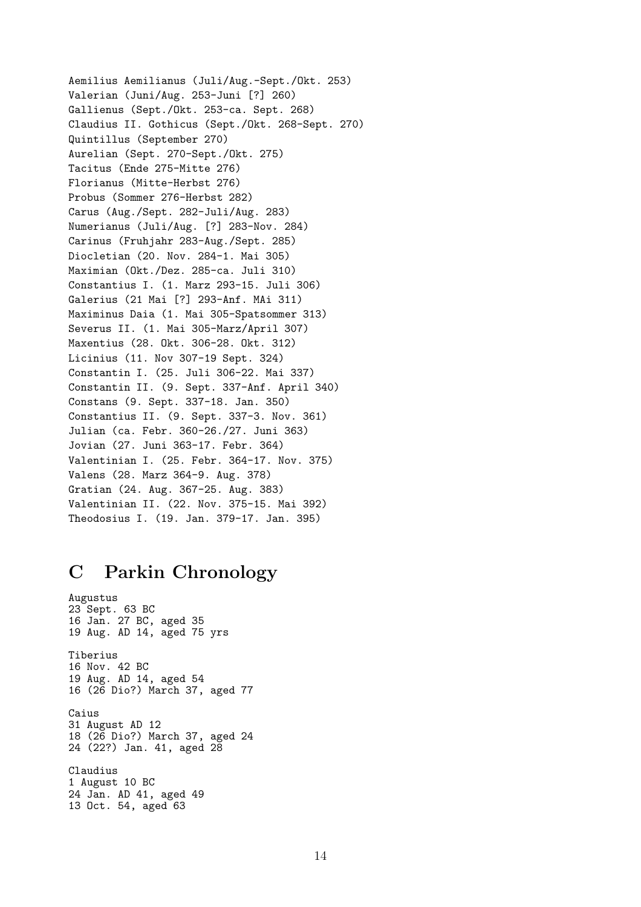Aemilius Aemilianus (Juli/Aug.-Sept./Okt. 253) Valerian (Juni/Aug. 253-Juni [?] 260) Gallienus (Sept./Okt. 253-ca. Sept. 268) Claudius II. Gothicus (Sept./Okt. 268-Sept. 270) Quintillus (September 270) Aurelian (Sept. 270-Sept./Okt. 275) Tacitus (Ende 275-Mitte 276) Florianus (Mitte-Herbst 276) Probus (Sommer 276-Herbst 282) Carus (Aug./Sept. 282-Juli/Aug. 283) Numerianus (Juli/Aug. [?] 283-Nov. 284) Carinus (Fruhjahr 283-Aug./Sept. 285) Diocletian (20. Nov. 284-1. Mai 305) Maximian (Okt./Dez. 285-ca. Juli 310) Constantius I. (1. Marz 293-15. Juli 306) Galerius (21 Mai [?] 293-Anf. MAi 311) Maximinus Daia (1. Mai 305-Spatsommer 313) Severus II. (1. Mai 305-Marz/April 307) Maxentius (28. Okt. 306-28. Okt. 312) Licinius (11. Nov 307-19 Sept. 324) Constantin I. (25. Juli 306-22. Mai 337) Constantin II. (9. Sept. 337-Anf. April 340) Constans (9. Sept. 337-18. Jan. 350) Constantius II. (9. Sept. 337-3. Nov. 361) Julian (ca. Febr. 360-26./27. Juni 363) Jovian (27. Juni 363-17. Febr. 364) Valentinian I. (25. Febr. 364-17. Nov. 375) Valens (28. Marz 364-9. Aug. 378) Gratian (24. Aug. 367-25. Aug. 383) Valentinian II. (22. Nov. 375-15. Mai 392) Theodosius I. (19. Jan. 379-17. Jan. 395)

# C Parkin Chronology

Augustus 23 Sept. 63 BC 16 Jan. 27 BC, aged 35 19 Aug. AD 14, aged 75 yrs Tiberius 16 Nov. 42 BC 19 Aug. AD 14, aged 54 16 (26 Dio?) March 37, aged 77 Caius 31 August AD 12 18 (26 Dio?) March 37, aged 24 24 (22?) Jan. 41, aged 28 Claudius 1 August 10 BC 24 Jan. AD 41, aged 49 13 Oct. 54, aged 63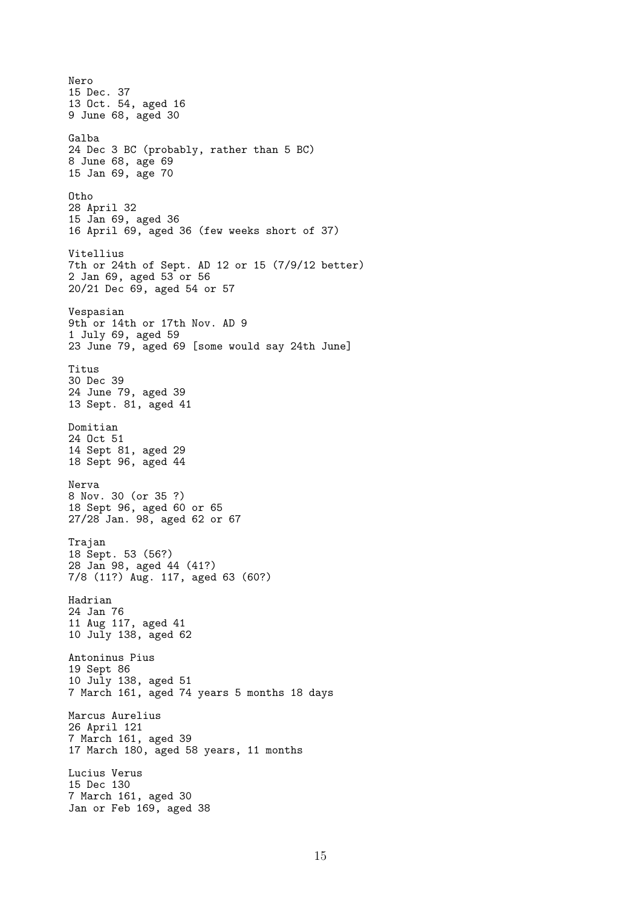Nero 15 Dec. 37 13 Oct. 54, aged 16 9 June 68, aged 30 Galba 24 Dec 3 BC (probably, rather than 5 BC) 8 June 68, age 69 15 Jan 69, age 70 Otho 28 April 32 15 Jan 69, aged 36 16 April 69, aged 36 (few weeks short of 37) Vitellius 7th or 24th of Sept. AD 12 or 15 (7/9/12 better) 2 Jan 69, aged 53 or 56 20/21 Dec 69, aged 54 or 57 Vespasian 9th or 14th or 17th Nov. AD 9 1 July 69, aged 59 23 June 79, aged 69 [some would say 24th June] Titus 30 Dec 39 24 June 79, aged 39 13 Sept. 81, aged 41 Domitian 24 Oct 51 14 Sept 81, aged 29 18 Sept 96, aged 44 Nerva 8 Nov. 30 (or 35 ?) 18 Sept 96, aged 60 or 65 27/28 Jan. 98, aged 62 or 67 Trajan 18 Sept. 53 (56?) 28 Jan 98, aged 44 (41?) 7/8 (11?) Aug. 117, aged 63 (60?) Hadrian 24 Jan 76 11 Aug 117, aged 41 10 July 138, aged 62 Antoninus Pius 19 Sept 86 10 July 138, aged 51 7 March 161, aged 74 years 5 months 18 days Marcus Aurelius 26 April 121 7 March 161, aged 39 17 March 180, aged 58 years, 11 months Lucius Verus 15 Dec 130 7 March 161, aged 30 Jan or Feb 169, aged 38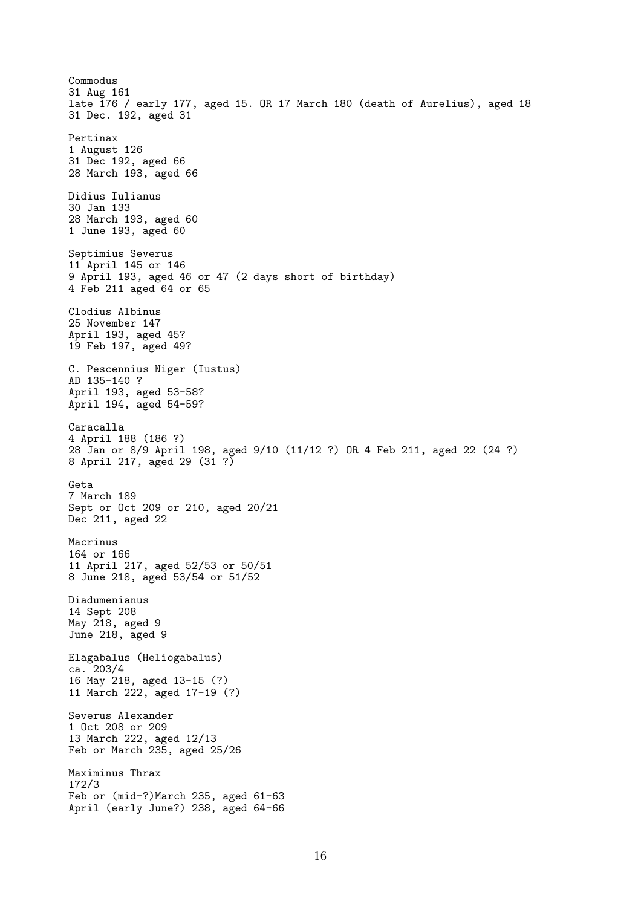Commodus 31 Aug 161 late 176 / early 177, aged 15. OR 17 March 180 (death of Aurelius), aged 18 31 Dec. 192, aged 31 Pertinax 1 August 126 31 Dec 192, aged 66 28 March 193, aged 66 Didius Iulianus 30 Jan 133 28 March 193, aged 60 1 June 193, aged 60 Septimius Severus 11 April 145 or 146 9 April 193, aged 46 or 47 (2 days short of birthday) 4 Feb 211 aged 64 or 65 Clodius Albinus 25 November 147 April 193, aged 45? 19 Feb 197, aged 49? C. Pescennius Niger (Iustus) AD 135-140 ? April 193, aged 53-58? April 194, aged 54-59? Caracalla 4 April 188 (186 ?) 28 Jan or 8/9 April 198, aged 9/10 (11/12 ?) OR 4 Feb 211, aged 22 (24 ?) 8 April 217, aged 29 (31 ?) Geta 7 March 189 Sept or Oct 209 or 210, aged 20/21 Dec 211, aged 22 Macrinus 164 or 166 11 April 217, aged 52/53 or 50/51 8 June 218, aged 53/54 or 51/52 Diadumenianus 14 Sept 208 May 218, aged 9 June 218, aged 9 Elagabalus (Heliogabalus) ca. 203/4 16 May 218, aged 13-15 (?) 11 March 222, aged 17-19 (?) Severus Alexander 1 Oct 208 or 209 13 March 222, aged 12/13 Feb or March 235, aged 25/26 Maximinus Thrax 172/3 Feb or (mid-?)March 235, aged 61-63 April (early June?) 238, aged 64-66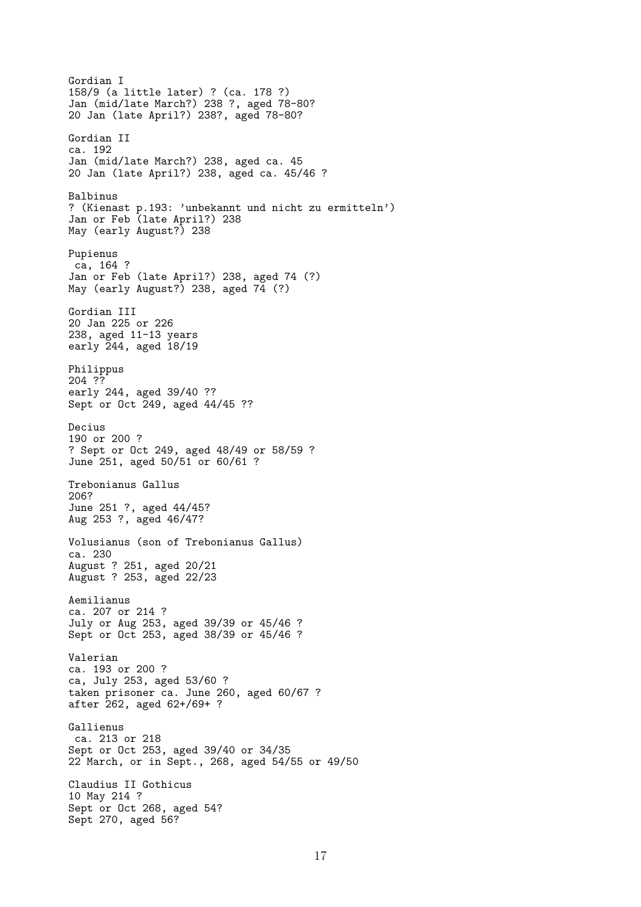Gordian I 158/9 (a little later) ? (ca. 178 ?) Jan (mid/late March?) 238 ?, aged 78-80? 20 Jan (late April?) 238?, aged 78-80? Gordian II ca. 192 Jan (mid/late March?) 238, aged ca. 45 20 Jan (late April?) 238, aged ca. 45/46 ? Balbinus ? (Kienast p.193: 'unbekannt und nicht zu ermitteln') Jan or Feb (late April?) 238 May (early August?) 238 Pupienus ca, 164 ? Jan or Feb (late April?) 238, aged 74 (?) May (early August?) 238, aged 74 (?) Gordian III 20 Jan 225 or 226 238, aged 11-13 years early 244, aged 18/19 Philippus 204 ?? early 244, aged 39/40 ?? Sept or Oct 249, aged 44/45 ?? Decius 190 or 200 ? ? Sept or Oct 249, aged 48/49 or 58/59 ? June 251, aged 50/51 or 60/61 ? Trebonianus Gallus 206? June 251 ?, aged 44/45? Aug 253 ?, aged 46/47? Volusianus (son of Trebonianus Gallus) ca. 230 August ? 251, aged 20/21 August ? 253, aged 22/23 Aemilianus ca. 207 or 214 ? July or Aug 253, aged 39/39 or 45/46 ? Sept or Oct 253, aged 38/39 or 45/46 ? Valerian ca. 193 or 200 ? ca, July 253, aged 53/60 ? taken prisoner ca. June 260, aged 60/67 ? after 262, aged 62+/69+ ? Gallienus ca. 213 or 218 Sept or Oct 253, aged 39/40 or 34/35 22 March, or in Sept., 268, aged 54/55 or 49/50 Claudius II Gothicus 10 May 214 ? Sept or Oct 268, aged 54? Sept 270, aged 56?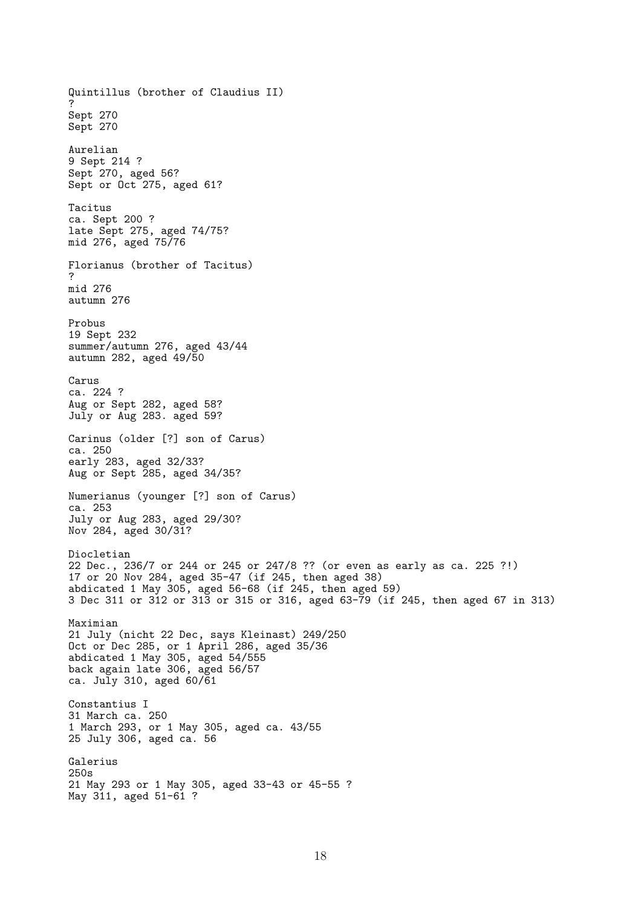Quintillus (brother of Claudius II) ? Sept 270 Sept 270 Aurelian 9 Sept 214 ? Sept 270, aged 56? Sept or Oct 275, aged 61? Tacitus ca. Sept 200 ? late Sept 275, aged 74/75? mid 276, aged 75/76 Florianus (brother of Tacitus) ? mid 276 autumn 276 Probus 19 Sept 232 summer/autumn 276, aged 43/44 autumn 282, aged 49/50 Carus ca. 224 ? Aug or Sept 282, aged 58? July or Aug 283. aged 59? Carinus (older [?] son of Carus) ca. 250 early 283, aged 32/33? Aug or Sept 285, aged 34/35? Numerianus (younger [?] son of Carus) ca. 253 July or Aug 283, aged 29/30? Nov 284, aged 30/31? Diocletian 22 Dec., 236/7 or 244 or 245 or 247/8 ?? (or even as early as ca. 225 ?!) 17 or 20 Nov 284, aged 35-47 (if 245, then aged 38) abdicated 1 May 305, aged 56-68 (if 245, then aged 59) 3 Dec 311 or 312 or 313 or 315 or 316, aged 63-79 (if 245, then aged 67 in 313) Maximian 21 July (nicht 22 Dec, says Kleinast) 249/250 Oct or Dec 285, or 1 April 286, aged 35/36 abdicated 1 May 305, aged 54/555 back again late 306, aged 56/57 ca. July 310, aged 60/61 Constantius I 31 March ca. 250 1 March 293, or 1 May 305, aged ca. 43/55 25 July 306, aged ca. 56 Galerius 250s 21 May 293 or 1 May 305, aged 33-43 or 45-55 ? May 311, aged 51-61 ?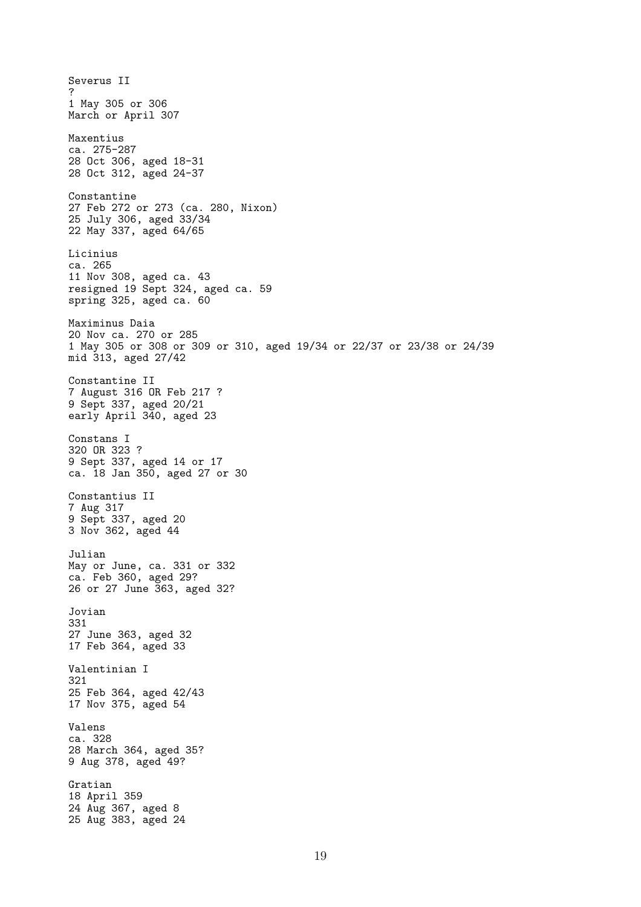Severus II ? 1 May 305 or 306 March or April 307 Maxentius ca. 275-287 28 Oct 306, aged 18-31 28 Oct 312, aged 24-37 Constantine 27 Feb 272 or 273 (ca. 280, Nixon) 25 July 306, aged 33/34 22 May 337, aged 64/65 Licinius ca. 265 11 Nov 308, aged ca. 43 resigned 19 Sept 324, aged ca. 59 spring 325, aged ca. 60 Maximinus Daia 20 Nov ca. 270 or 285 1 May 305 or 308 or 309 or 310, aged 19/34 or 22/37 or 23/38 or 24/39 mid 313, aged 27/42 Constantine II 7 August 316 OR Feb 217 ? 9 Sept 337, aged 20/21 early April 340, aged 23 Constans I 320 OR 323 ? 9 Sept 337, aged 14 or 17 ca. 18 Jan 350, aged 27 or 30 Constantius II 7 Aug 317 9 Sept 337, aged 20 3 Nov 362, aged 44 Julian May or June, ca. 331 or 332 ca. Feb 360, aged 29? 26 or 27 June 363, aged 32? Jovian 331 27 June 363, aged 32 17 Feb 364, aged 33 Valentinian I 321 25 Feb 364, aged 42/43 17 Nov 375, aged 54 Valens ca. 328 28 March 364, aged 35? 9 Aug 378, aged 49? Gratian 18 April 359 24 Aug 367, aged 8 25 Aug 383, aged 24